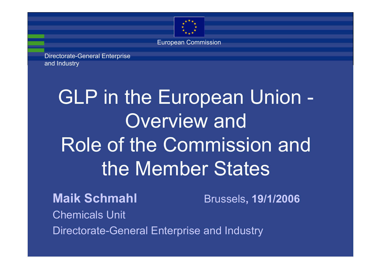

European Commission

Directorate-General Enterprise and Industry

# GLP in the European Union - Overview and Role of the Commission and the Member States

**Maik Schmahl** Brussels**, 19/1/2006** Chemicals UnitDirectorate-General Enterprise and Industry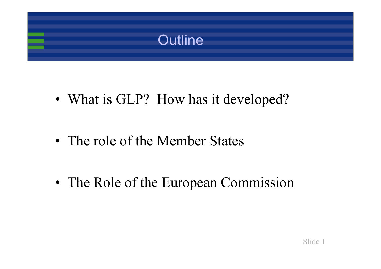

• What is GLP? How has it developed?

• The role of the Member States

• The Role of the European Commission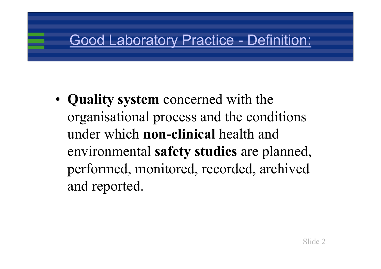## Good Laboratory Practice - Definition:

• **Quality system** concerned with the organisational process and the conditions under which **non-clinical** health and environmental **safety studies** are planned, performed, monitored, recorded, archived and reported.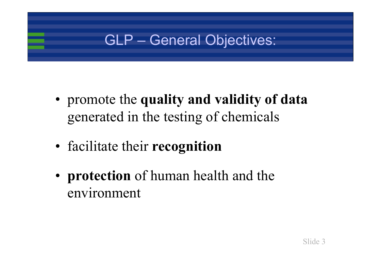## GLP – General Objectives:

- promote the **quality and validity of data** generated in the testing of chemicals
- facilitate their **recognition**
- **protection** of human health and the environment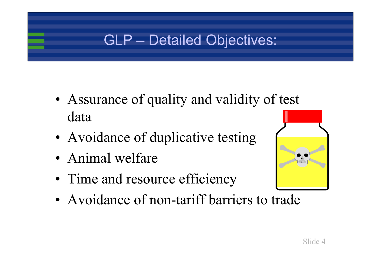## GLP – Detailed Objectives:

- Assurance of quality and validity of test data
- Avoidance of duplicative testing
- Animal welfare
- Time and resource efficiency
- Avoidance of non-tariff barriers to trade

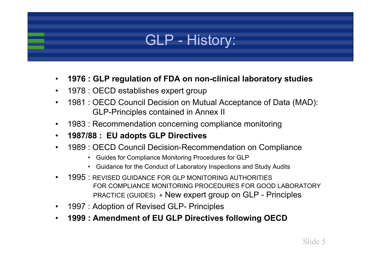

- $\bullet$ **1976 : GLP regulation of FDA on non-clinical laboratory studies**
- •1978 : OECD establishes expert group
- • 1981 : OECD Council Decision on Mutual Acceptance of Data (MAD): GLP-Principles contained in Annex II
- $\bullet$ 1983 : Recommendation concerning compliance monitoring
- •**1987/88 : EU adopts GLP Directives**
- • 1989 : OECD Council Decision-Recommendation on Compliance
	- Guides for Compliance Monitoring Procedures for GLP
	- Guidance for the Conduct of Laboratory Inspections and Study Audits
- • 1995 : REVISED GUIDANCE FOR GLP MONITORING AUTHORITIESFOR COMPLIANCE MONITORING PROCEDURES FOR GOOD LABORATORYPRACTICE (GUIDES) + New expert group on GLP - Principles
- •1997 : Adoption of Revised GLP- Principles
- •**1999 : Amendment of EU GLP Directives following OECD**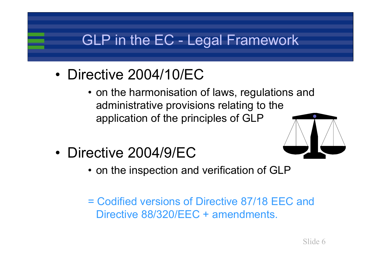## GLP in the EC - Legal Framework

- Directive 2004/10/EC
	- on the harmonisation of laws, regulations and administrative provisions relating to the application of the principles of GLP



- Directive 2004/9/EC
	- on the inspection and verification of GLP
	- = Codified versions of Directive 87/18 EEC and Directive 88/320/EEC + amendments.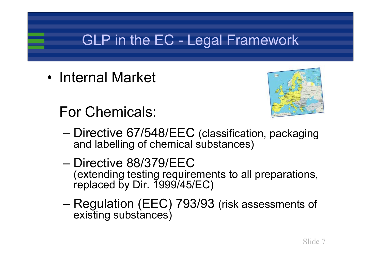## GLP in the EC - Legal Framework

• Internal Market



For Chemicals:

- – Directive 67/548/EEC (classification, packaging and labelling of chemical substances)
- Directive 88/379/EEC (extending testing requirements to all preparations, replaced by Dir. 1999/45/EC)
- – Regulation (EEC) 793/93 (risk assessments of existing substances)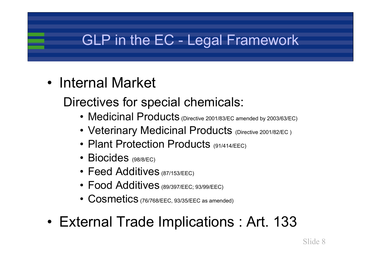## GLP in the EC - Legal Framework

- Internal Market
	- Directives for special chemicals:
		- Medicinal Products (Directive 2001/83/EC amended by 2003/63/EC)
		- Veterinary Medicinal Products (Directive 2001/82/EC )
		- Plant Protection Products (91/414/EEC)
		- Biocides (98/8/EC)
		- Feed Additives (87/153/EEC)
		- Food Additives (89/397/EEC; 93/99/EEC)
		- $\overline{\text{Cosmetics}}$  (76/768/EEC, 93/35/EEC as amended)
- External Trade Implications : Art. 133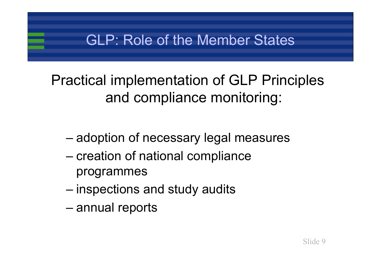### GLP: Role of the Member States

## Practical implementation of GLP Principles and compliance monitoring:

- –adoption of necessary legal measures
- – creation of national compliance programmes
- –inspections and study audits
- –annual reports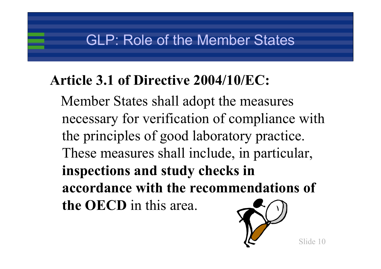### GLP: Role of the Member States

## **Article 3.1 of Directive 2004/10/EC:**

Member States shall adopt the measures necessary for verification of compliance with the principles of good laboratory practice. These measures shall include, in particular, **inspections and study checks in accordance with the recommendations of the OECD** in this area.

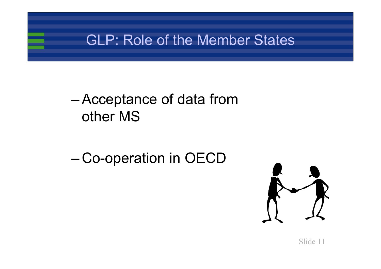### GLP: Role of the Member States

#### – Acceptance of data from other MS

#### –Co-operation in OECD

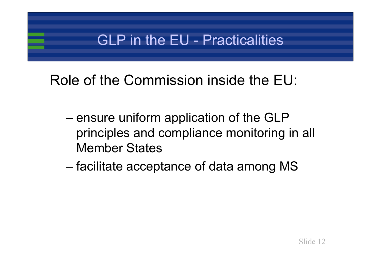## GLP in the EU - Practicalities

## Role of the Commission inside the EU:

- – ensure uniform application of the GLP principles and compliance monitoring in all Member States
- –facilitate acceptance of data among MS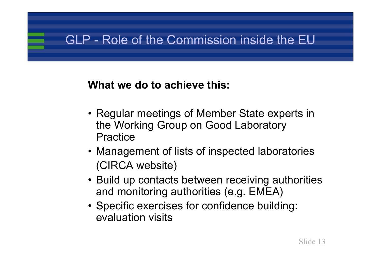### GLP - Role of the Commission inside the EU

#### **What we do to achieve this:**

- Regular meetings of Member State experts in the Working Group on Good Laboratory Practice
- Management of lists of inspected laboratories (CIRCA website)
- Build up contacts between receiving authorities and monitoring authorities (e.g. EMEA)
- Specific exercises for confidence building: evaluation visits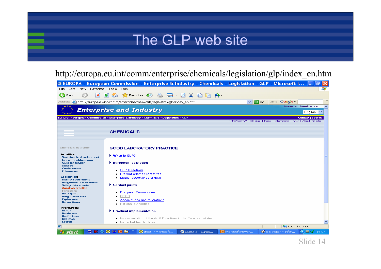### The GLP web site

#### http://europa.eu.int/comm/enterprise/chemicals/legislation/glp/index\_en.htm

|                                                            | <sup>3</sup> EUROPA - European Commission - Enterprise & Industry - Chemicals - Legislation - GLP - Microsoft I |                                                                                                 |
|------------------------------------------------------------|-----------------------------------------------------------------------------------------------------------------|-------------------------------------------------------------------------------------------------|
| Edit<br>Favorites<br>File<br>View                          | Tools<br>Help                                                                                                   | 7.                                                                                              |
| e<br>Back *                                                | $\bigotimes$ Favorites $\bigotimes$<br>为自信会<br>l٤<br> ≂                                                         |                                                                                                 |
| Address                                                    | http://europa.eu.int/comm/enterprise/chemicals/leqislation/qlp/index_en.htm                                     | $\rightarrow$<br>$\Box$ Go<br>Links <b>Google</b><br>$\checkmark$                               |
|                                                            |                                                                                                                 | <b>Important legal notice</b><br>ㅅ                                                              |
|                                                            | <b>Enterprise and Industry</b>                                                                                  | English<br>$\checkmark$                                                                         |
|                                                            | EUROPA > European Commission > Enterprise & Industry > Chemicals > Legislation > GLP                            | <b>Contact   Search</b><br>What's new?   Site map   Index   Information   FAQ   About this site |
|                                                            |                                                                                                                 |                                                                                                 |
|                                                            | <b>CHEMICALS</b>                                                                                                |                                                                                                 |
|                                                            |                                                                                                                 |                                                                                                 |
|                                                            |                                                                                                                 |                                                                                                 |
| <b>Chemicals overview</b>                                  | <b>GOOD LABORATORY PRACTICE</b>                                                                                 |                                                                                                 |
| <b>Activities:</b>                                         | Mhat is GLP?                                                                                                    |                                                                                                 |
| <b>Sustainable development</b><br>Ind. competitiveness     |                                                                                                                 |                                                                                                 |
| <b>Calls for tender</b><br><b>Studies</b>                  | $\blacktriangleright$ European legislation                                                                      |                                                                                                 |
| <b>Conferences</b><br><b>Enlargement</b>                   | GLP Directives                                                                                                  |                                                                                                 |
|                                                            | <b>Product oriented Directives</b>                                                                              |                                                                                                 |
| <b>Legislation:</b><br><b>Market restrictions</b>          | Mutual acceptance of data                                                                                       |                                                                                                 |
| <b>Dangerous preparations</b><br><b>Safety data sheets</b> | $\blacktriangleright$ Contact points                                                                            |                                                                                                 |
| <b>Good lab practice</b><br><b>Fertilizers</b>             |                                                                                                                 |                                                                                                 |
| <b>Detergents</b>                                          | <b>European Commission</b><br>OECD                                                                              |                                                                                                 |
| <b>Drug precursors</b><br><b>Explosives</b>                | Associations and federations                                                                                    |                                                                                                 |
| <b>Derogations</b>                                         | National authorities                                                                                            |                                                                                                 |
| Information:<br><b>REACH</b>                               | $\blacktriangleright$ Practical implementation                                                                  |                                                                                                 |
| <b>Databases</b>                                           |                                                                                                                 |                                                                                                 |
| <b>Useful links</b><br><b>Site map</b>                     | Implementation of the GLP Directives in the European states                                                     |                                                                                                 |
| <b>Search</b>                                              | Inspected test facilities                                                                                       |                                                                                                 |
| e                                                          |                                                                                                                 | Local intranet                                                                                  |
| <b><i>Fastart</i></b>                                      | 西亚乡区亲国会<br>C Inbox - Microsoft<br>EUROPA - Europ                                                                | Sic Watch - Infor<br>$\bigcirc$ $\blacksquare$ $\bigvee$ 14:07<br>B Microsoft Power             |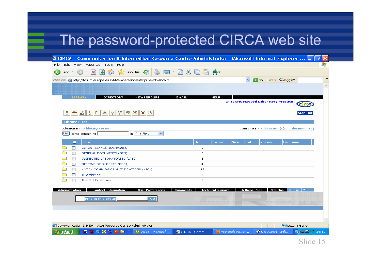### The password-protected CIRCA web site

| <sup>2</sup> CIRCA - Communication & Information Resource Centre Administrator - Microsoft Internet Explorer  [                                                                                                                                                                                                                                                                           |              |                |                          |                          |                     |         |                                                  |                                           | 16                 |
|-------------------------------------------------------------------------------------------------------------------------------------------------------------------------------------------------------------------------------------------------------------------------------------------------------------------------------------------------------------------------------------------|--------------|----------------|--------------------------|--------------------------|---------------------|---------|--------------------------------------------------|-------------------------------------------|--------------------|
| Edit View Favorites Tools Help<br>Eile                                                                                                                                                                                                                                                                                                                                                    |              |                |                          |                          |                     |         |                                                  |                                           |                    |
| $\begin{picture}(150,10) \put(0,0){\line(1,0){10}} \put(15,0){\line(1,0){10}} \put(15,0){\line(1,0){10}} \put(15,0){\line(1,0){10}} \put(15,0){\line(1,0){10}} \put(15,0){\line(1,0){10}} \put(15,0){\line(1,0){10}} \put(15,0){\line(1,0){10}} \put(15,0){\line(1,0){10}} \put(15,0){\line(1,0){10}} \put(15,0){\line(1,0){10}} \put(15,0){\line($<br>$\bigodot$ Back $\cdot$ $\bigodot$ |              |                |                          |                          |                     |         |                                                  |                                           |                    |
| Address <b>&amp;</b> http://forum.europa.eu.int/Members/irc/enterprise/glb/library                                                                                                                                                                                                                                                                                                        |              |                |                          |                          | $\vee$ $\Box$ Go    |         | Links <b>Google</b>                              |                                           | $\gg$              |
| <b>DIRECTORY</b><br><b>NEWSGROUPS</b><br><b>LIBRARY</b><br> =   <del>=</del>   ≛  古  ⇔  ∻  見 <br>図<br>b.<br>l'el<br>XID<br>Library > Top                                                                                                                                                                                                                                                  | <b>EMAIL</b> |                | <b>HELP</b>              |                          |                     |         | <b>ENTERPRISE:Good Laboratory Practice</b>       | <b>Sign Out</b>                           | $\curvearrowright$ |
| <b>Abstract: Top library section</b>                                                                                                                                                                                                                                                                                                                                                      |              |                |                          |                          |                     |         | <b>Contents:</b> 7 Subsection(s) - 0 document(s) |                                           |                    |
| List items containing<br>in Any Field<br>$\checkmark$                                                                                                                                                                                                                                                                                                                                     |              |                |                          |                          |                     |         |                                                  |                                           |                    |
|                                                                                                                                                                                                                                                                                                                                                                                           |              |                |                          |                          |                     |         |                                                  |                                           |                    |
| Title+<br>m.                                                                                                                                                                                                                                                                                                                                                                              |              | <b>Items</b>   | <b>Owner</b>             | <b>Size</b>              | <b>Date</b>         | Version | Language                                         |                                           |                    |
| <b>CIRCA Technical Information</b><br>П                                                                                                                                                                                                                                                                                                                                                   |              | 5              |                          |                          |                     |         |                                                  |                                           |                    |
| П<br><b>GENERAL DOCUMENTS (GEN)</b>                                                                                                                                                                                                                                                                                                                                                       |              | 3              |                          |                          |                     |         |                                                  |                                           |                    |
| INSPECTED LABORATORIES (LAB)<br>$\Box$                                                                                                                                                                                                                                                                                                                                                    |              | 3              |                          |                          |                     |         |                                                  |                                           |                    |
| П<br>MEETING DOCUMENTS (MEET)                                                                                                                                                                                                                                                                                                                                                             |              | $\overline{4}$ |                          |                          |                     |         |                                                  |                                           |                    |
| П<br>NOT IN COMPLIANCE NOTIFICATIONS (NICs)                                                                                                                                                                                                                                                                                                                                               |              | 13             |                          |                          |                     |         |                                                  |                                           |                    |
| <b>TF Archiving</b><br>П                                                                                                                                                                                                                                                                                                                                                                  |              | $\mathbf{2}$   |                          |                          |                     |         |                                                  |                                           |                    |
| П<br>The GLP Directives                                                                                                                                                                                                                                                                                                                                                                   |              | $\mathbf{2}$   |                          |                          |                     |         |                                                  |                                           |                    |
| Administration<br><b>Contact Information</b><br><b>User Preferences</b><br>Go.<br><b>Find in this group</b>                                                                                                                                                                                                                                                                               | Comments     |                | <b>Technical Support</b> |                          | <b>IG Home Page</b> |         | Site Map                                         |                                           |                    |
| Local intranet<br>Communication & Information Resource Centre Administrator                                                                                                                                                                                                                                                                                                               |              |                |                          |                          |                     |         |                                                  |                                           |                    |
| $\bigotimes$ Inbox - Microsof<br>西亚乡区等国陆<br><b>start</b>                                                                                                                                                                                                                                                                                                                                  | CIRCA - Comm |                |                          | <b>回</b> Microsoft Power |                     |         | Sic Watch - Info                                 | $\bigotimes$ $\mathbb{Z}$ $\bigvee$ 14:11 |                    |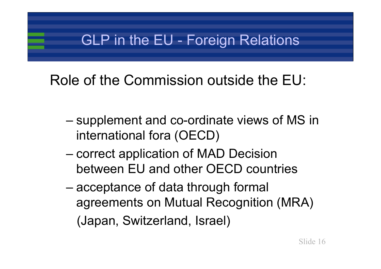## GLP in the EU - Foreign Relations

## Role of the Commission outside the EU:

- – supplement and co-ordinate views of MS in international fora (OECD)
- – correct application of MAD Decision between EU and other OECD countries
- – acceptance of data through formal agreements on Mutual Recognition (MRA) (Japan, Switzerland, Israel)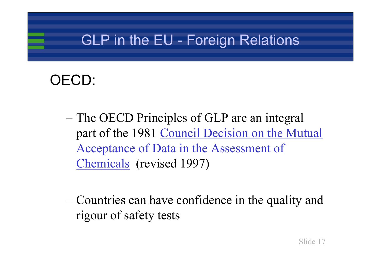## GLP in the EU - Foreign Relations

## OECD:

- The OECD Principles of GLP are an integral part of the 1981 Council Decision on the Mutual Acceptance of Data in the Assessment of Chemicals (revised 1997)
- Countries can have confidence in the quality and rigour of safety tests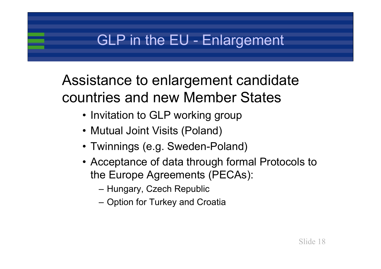## GLP in the EU - Enlargement

## Assistance to enlargement candidate countries and new Member States

- Invitation to GLP working group
- Mutual Joint Visits (Poland)
- Twinnings (e.g. Sweden-Poland)
- Acceptance of data through formal Protocols to the Europe Agreements (PECAs):
	- Hungary, Czech Republic
	- Option for Turkey and Croatia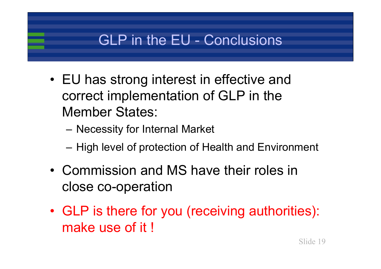## GLP in the EU - Conclusions

- EU has strong interest in effective and correct implementation of GLP in the Member States:
	- –Necessity for Internal Market
	- –High level of protection of Health and Environment
- Commission and MS have their roles in close co-operation
- GLP is there for you (receiving authorities): make use of it!